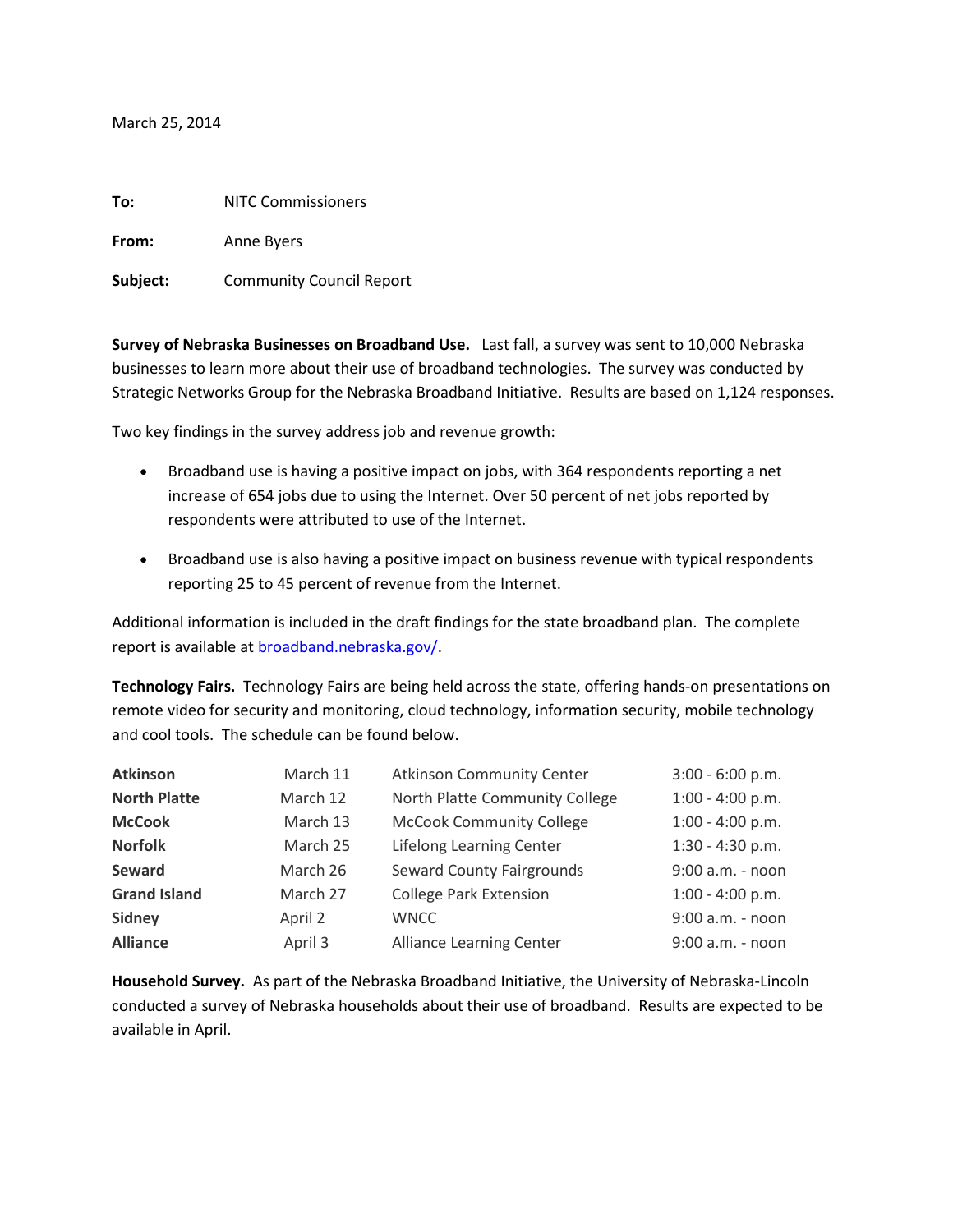## March 25, 2014

| To:      | <b>NITC Commissioners</b>       |  |  |
|----------|---------------------------------|--|--|
| From:    | Anne Byers                      |  |  |
| Subject: | <b>Community Council Report</b> |  |  |

**Survey of Nebraska Businesses on Broadband Use.** Last fall, a survey was sent to 10,000 Nebraska businesses to learn more about their use of broadband technologies. The survey was conducted by Strategic Networks Group for the Nebraska Broadband Initiative. Results are based on 1,124 responses.

Two key findings in the survey address job and revenue growth:

- Broadband use is having a positive impact on jobs, with 364 respondents reporting a net increase of 654 jobs due to using the Internet. Over 50 percent of net jobs reported by respondents were attributed to use of the Internet.
- Broadband use is also having a positive impact on business revenue with typical respondents reporting 25 to 45 percent of revenue from the Internet.

Additional information is included in the draft findings for the state broadband plan. The complete report is available a[t broadband.nebraska.gov/.](http://broadband.nebraska.gov/)

**Technology Fairs.** Technology Fairs are being held across the state, offering hands-on presentations on remote video for security and monitoring, cloud technology, information security, mobile technology and cool tools. The schedule can be found below.

| <b>Atkinson</b>     | March 11 | <b>Atkinson Community Center</b> | $3:00 - 6:00 p.m.$ |
|---------------------|----------|----------------------------------|--------------------|
| <b>North Platte</b> | March 12 | North Platte Community College   | $1:00 - 4:00 p.m.$ |
| <b>McCook</b>       | March 13 | <b>McCook Community College</b>  | $1:00 - 4:00 p.m.$ |
| <b>Norfolk</b>      | March 25 | <b>Lifelong Learning Center</b>  | $1:30 - 4:30$ p.m. |
| Seward              | March 26 | <b>Seward County Fairgrounds</b> | 9:00 a.m. - noon   |
| <b>Grand Island</b> | March 27 | <b>College Park Extension</b>    | $1:00 - 4:00 p.m.$ |
| <b>Sidney</b>       | April 2  | <b>WNCC</b>                      | 9:00 a.m. - noon   |
| <b>Alliance</b>     | April 3  | <b>Alliance Learning Center</b>  | 9:00 a.m. - noon   |

**Household Survey.** As part of the Nebraska Broadband Initiative, the University of Nebraska-Lincoln conducted a survey of Nebraska households about their use of broadband. Results are expected to be available in April.